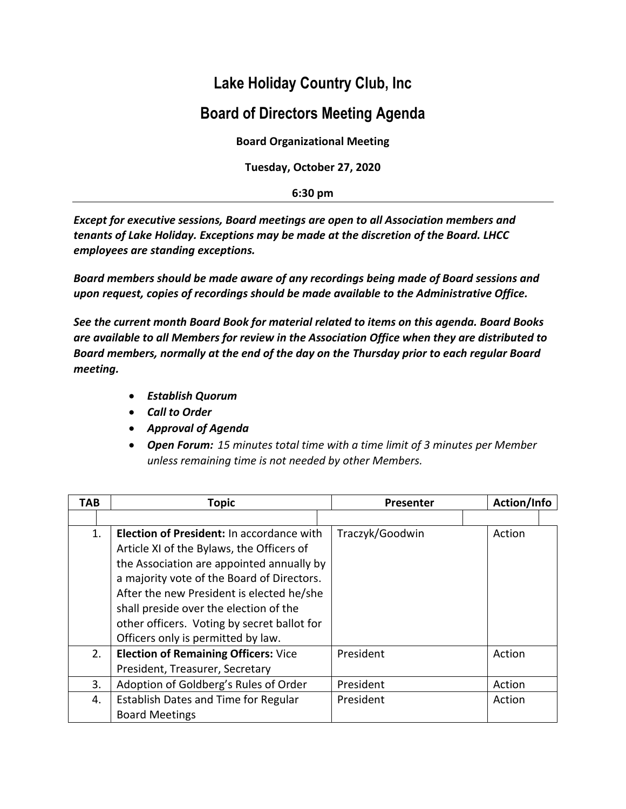## **Lake Holiday Country Club, Inc**

## **Board of Directors Meeting Agenda**

**Board Organizational Meeting**

**Tuesday, October 27, 2020**

**6:30 pm**

*Except for executive sessions, Board meetings are open to all Association members and tenants of Lake Holiday. Exceptions may be made at the discretion of the Board. LHCC employees are standing exceptions.*

*Board members should be made aware of any recordings being made of Board sessions and upon request, copies of recordings should be made available to the Administrative Office.*

*See the current month Board Book for material related to items on this agenda. Board Books are available to all Members for review in the Association Office when they are distributed to Board members, normally at the end of the day on the Thursday prior to each regular Board meeting.*

- *Establish Quorum*
- *Call to Order*
- *Approval of Agenda*
- *Open Forum: 15 minutes total time with a time limit of 3 minutes per Member unless remaining time is not needed by other Members.*

| TAB | <b>Topic</b>                                | Presenter       | Action/Info |
|-----|---------------------------------------------|-----------------|-------------|
|     |                                             |                 |             |
| 1.  | Election of President: In accordance with   | Traczyk/Goodwin | Action      |
|     | Article XI of the Bylaws, the Officers of   |                 |             |
|     | the Association are appointed annually by   |                 |             |
|     | a majority vote of the Board of Directors.  |                 |             |
|     | After the new President is elected he/she   |                 |             |
|     | shall preside over the election of the      |                 |             |
|     | other officers. Voting by secret ballot for |                 |             |
|     | Officers only is permitted by law.          |                 |             |
| 2.  | <b>Election of Remaining Officers: Vice</b> | President       | Action      |
|     | President, Treasurer, Secretary             |                 |             |
| 3.  | Adoption of Goldberg's Rules of Order       | President       | Action      |
| 4.  | Establish Dates and Time for Regular        | President       | Action      |
|     | <b>Board Meetings</b>                       |                 |             |